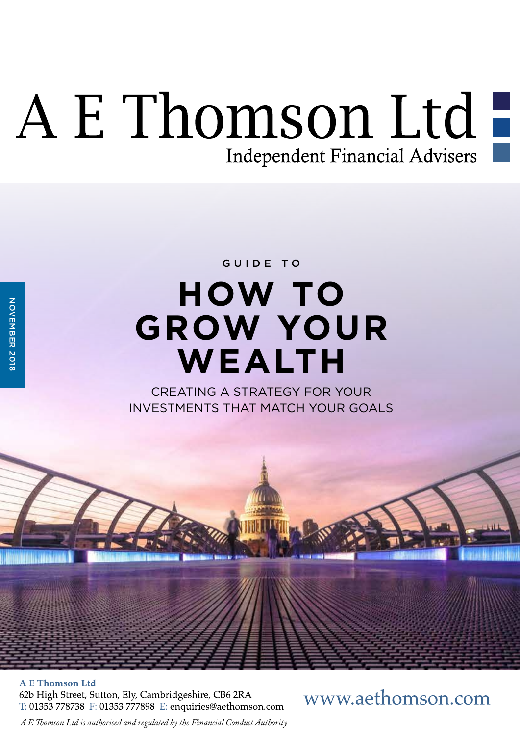## A E Thomson Ltd Independent Financial Advisers

### **HOW TO GROW YOUR WEALTH** GUIDE TO

CREATING A STRATEGY FOR YOUR INVESTMENTS THAT MATCH YOUR GOALS

#### **A E Thomson Ltd**

NOVEMBER 2018

NOVEMBER 2018

62b High Street, Sutton, Ely, Cambridgeshire, CB6 2RA T: 01353 778738 F: 01353 777898 E: enquiries@aethomson.com www.aethomson.com

*A E Tomson Ltd is authorised and regulated by the Financial Conduct Authority*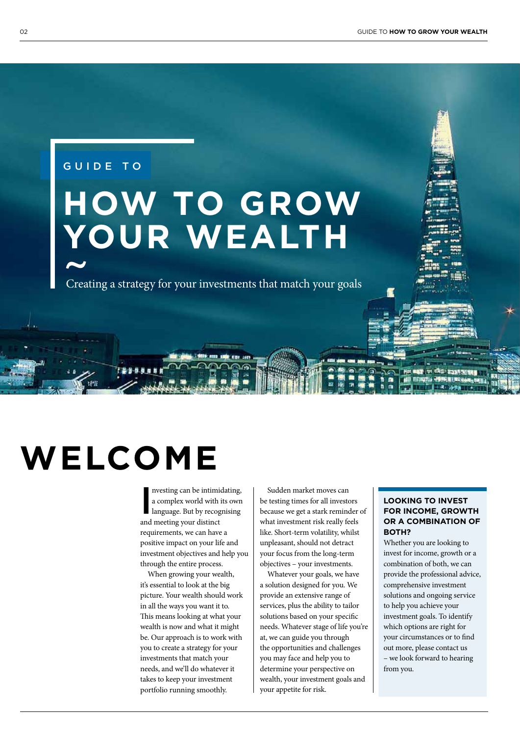# GUIDE TO **HOW TO GROW YOUR WEALTH** Creating a strategy for your investments that match your goals

### **WELCOME**

I nvesting can be intimidating, a complex world with its own language. But by recognising and meeting your distinct requirements, we can have a positive impact on your life and investment objectives and help you through the entire process.

When growing your wealth, it's essential to look at the big picture. Your wealth should work in all the ways you want it to. This means looking at what your wealth is now and what it might be. Our approach is to work with you to create a strategy for your investments that match your needs, and we'll do whatever it takes to keep your investment portfolio running smoothly.

Sudden market moves can be testing times for all investors because we get a stark reminder of what investment risk really feels like. Short-term volatility, whilst unpleasant, should not detract your focus from the long-term objectives – your investments.

Whatever your goals, we have a solution designed for you. We provide an extensive range of services, plus the ability to tailor solutions based on your specifc needs. Whatever stage of life you're at, we can guide you through the opportunities and challenges you may face and help you to determine your perspective on wealth, your investment goals and your appetite for risk.

#### **LOOKING TO INVEST FOR INCOME, GROWTH OR A COMBINATION OF BOTH?**

Whether you are looking to invest for income, growth or a combination of both, we can provide the professional advice, comprehensive investment solutions and ongoing service to help you achieve your investment goals. To identify which options are right for your circumstances or to fnd out more, please contact us – we look forward to hearing from you.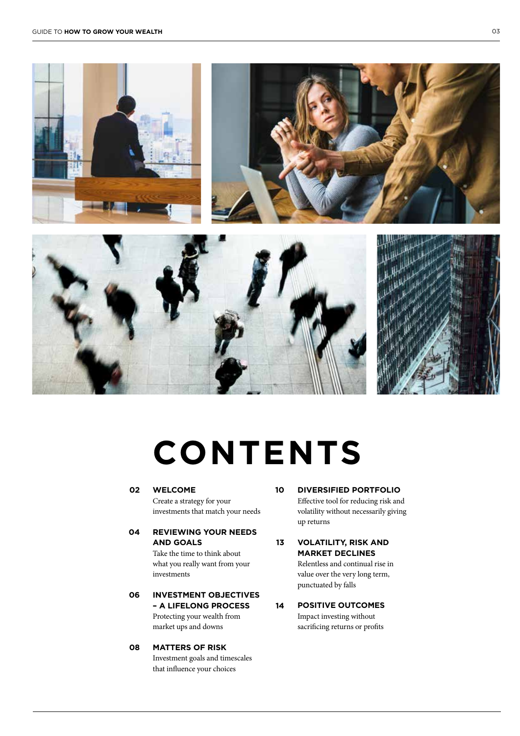

### **CONTENTS**

#### **WELCOME 02**

Create a strategy for your investments that match your needs

**REVIEWING YOUR NEEDS AND GOALS 04**

Take the time to think about what you really want from your investments

- **INVESTMENT OBJECTIVES – A LIFELONG PROCESS** Protecting your wealth from market ups and downs **06**
- **MATTERS OF RISK** Investment goals and timescales that infuence your choices **08**
- **DIVERSIFIED PORTFOLIO** Efective tool for reducing risk and volatility without necessarily giving up returns **10**
- **VOLATILITY, RISK AND MARKET DECLINES** Relentless and continual rise in value over the very long term, punctuated by falls **13**
- **POSITIVE OUTCOMES** Impact investing without sacrificing returns or profits **14**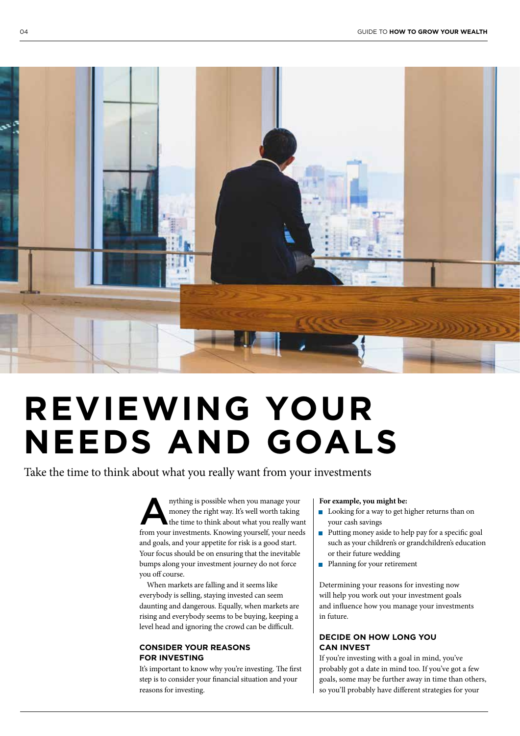

### **REVIEWING YOUR NEEDS AND GOALS**

Take the time to think about what you really want from your investments

Australian is possible when you manage your money the right way. It's well worth taking the time to think about what you really wan money the right way. It's well worth taking the time to think about what you really want from your investments. Knowing yourself, your needs and goals, and your appetite for risk is a good start. Your focus should be on ensuring that the inevitable bumps along your investment journey do not force you off course.

When markets are falling and it seems like everybody is selling, staying invested can seem daunting and dangerous. Equally, when markets are rising and everybody seems to be buying, keeping a level head and ignoring the crowd can be difficult.

#### **CONSIDER YOUR REASONS FOR INVESTING**

It's important to know why you're investing. The first step is to consider your fnancial situation and your reasons for investing.

#### **For example, you might be:**

- Looking for a way to get higher returns than on your cash savings
- Putting money aside to help pay for a specific goal such as your children's or grandchildren's education or their future wedding
- Planning for your retirement

Determining your reasons for investing now will help you work out your investment goals and infuence how you manage your investments in future.

#### **DECIDE ON HOW LONG YOU CAN INVEST**

If you're investing with a goal in mind, you've probably got a date in mind too. If you've got a few goals, some may be further away in time than others, so you'll probably have diferent strategies for your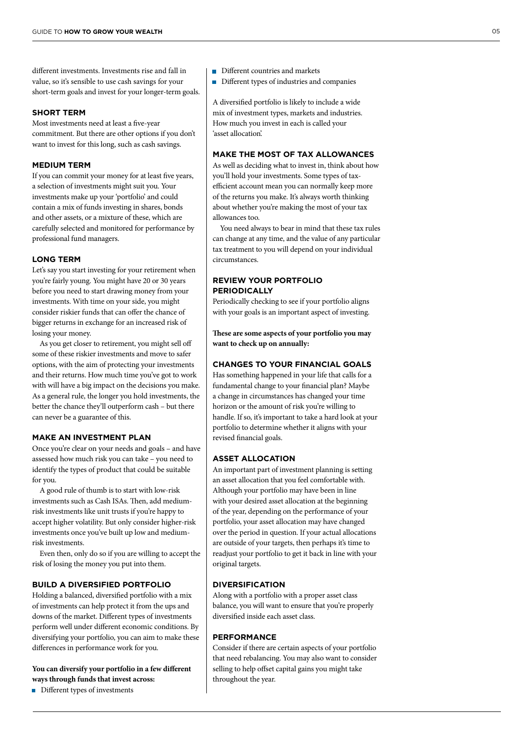diferent investments. Investments rise and fall in value, so it's sensible to use cash savings for your short-term goals and invest for your longer-term goals.

#### **SHORT TERM**

Most investments need at least a fve-year commitment. But there are other options if you don't want to invest for this long, such as cash savings.

#### **MEDIUM TERM**

If you can commit your money for at least fve years, a selection of investments might suit you. Your investments make up your 'portfolio' and could contain a mix of funds investing in shares, bonds and other assets, or a mixture of these, which are carefully selected and monitored for performance by professional fund managers.

#### **LONG TERM**

Let's say you start investing for your retirement when you're fairly young. You might have 20 or 30 years before you need to start drawing money from your investments. With time on your side, you might consider riskier funds that can offer the chance of bigger returns in exchange for an increased risk of losing your money.

As you get closer to retirement, you might sell of some of these riskier investments and move to safer options, with the aim of protecting your investments and their returns. How much time you've got to work with will have a big impact on the decisions you make. As a general rule, the longer you hold investments, the better the chance they'll outperform cash – but there can never be a guarantee of this.

#### **MAKE AN INVESTMENT PLAN**

Once you're clear on your needs and goals – and have assessed how much risk you can take – you need to identify the types of product that could be suitable for you.

A good rule of thumb is to start with low-risk investments such as Cash ISAs. Then, add mediumrisk investments like unit trusts if you're happy to accept higher volatility. But only consider higher-risk investments once you've built up low and mediumrisk investments.

Even then, only do so if you are willing to accept the risk of losing the money you put into them.

#### **BUILD A DIVERSIFIED PORTFOLIO**

Holding a balanced, diversifed portfolio with a mix of investments can help protect it from the ups and downs of the market. Diferent types of investments perform well under diferent economic conditions. By diversifying your portfolio, you can aim to make these diferences in performance work for you.

#### **You can diversify your portfolio in a few diferent ways through funds that invest across:**

■ Different types of investments

- Different countries and markets
- Different types of industries and companies

A diversifed portfolio is likely to include a wide mix of investment types, markets and industries. How much you invest in each is called your 'asset allocation'.

#### **MAKE THE MOST OF TAX ALLOWANCES**

As well as deciding what to invest in, think about how you'll hold your investments. Some types of taxefficient account mean you can normally keep more of the returns you make. It's always worth thinking about whether you're making the most of your tax allowances too.

You need always to bear in mind that these tax rules can change at any time, and the value of any particular tax treatment to you will depend on your individual circumstances.

#### **REVIEW YOUR PORTFOLIO PERIODICALLY**

Periodically checking to see if your portfolio aligns with your goals is an important aspect of investing.

These are some aspects of your portfolio you may **want to check up on annually:**

#### **CHANGES TO YOUR FINANCIAL GOALS**

Has something happened in your life that calls for a fundamental change to your fnancial plan? Maybe a change in circumstances has changed your time horizon or the amount of risk you're willing to handle. If so, it's important to take a hard look at your portfolio to determine whether it aligns with your revised fnancial goals.

#### **ASSET ALLOCATION**

An important part of investment planning is setting an asset allocation that you feel comfortable with. Although your portfolio may have been in line with your desired asset allocation at the beginning of the year, depending on the performance of your portfolio, your asset allocation may have changed over the period in question. If your actual allocations are outside of your targets, then perhaps it's time to readjust your portfolio to get it back in line with your original targets.

#### **DIVERSIFICATION**

Along with a portfolio with a proper asset class balance, you will want to ensure that you're properly diversifed inside each asset class.

#### **PERFORMANCE**

Consider if there are certain aspects of your portfolio that need rebalancing. You may also want to consider selling to help offset capital gains you might take throughout the year.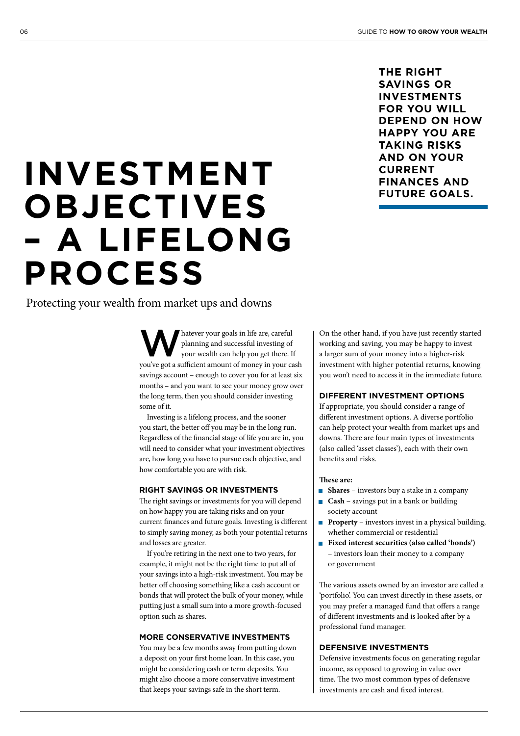#### **THE RIGHT SAVINGS OR INVESTMENTS FOR YOU WILL DEPEND ON HOW HAPPY YOU ARE TAKING RISKS AND ON YOUR CURRENT FINANCES AND FUTURE GOALS.**

### **INVESTMENT OBJECTIVES – A LIFELONG PROCESS**

Protecting your wealth from market ups and downs

Whatever your goals in life are, careful<br>planning and successful investing of<br>your wealth can help you get there. If planning and successful investing of you've got a sufficient amount of money in your cash savings account – enough to cover you for at least six months – and you want to see your money grow over the long term, then you should consider investing some of it.

Investing is a lifelong process, and the sooner you start, the better off you may be in the long run. Regardless of the fnancial stage of life you are in, you will need to consider what your investment objectives are, how long you have to pursue each objective, and how comfortable you are with risk.

#### **RIGHT SAVINGS OR INVESTMENTS**

The right savings or investments for you will depend on how happy you are taking risks and on your current fnances and future goals. Investing is diferent to simply saving money, as both your potential returns and losses are greater.

If you're retiring in the next one to two years, for example, it might not be the right time to put all of your savings into a high-risk investment. You may be better off choosing something like a cash account or bonds that will protect the bulk of your money, while putting just a small sum into a more growth-focused option such as shares.

#### **MORE CONSERVATIVE INVESTMENTS**

You may be a few months away from putting down a deposit on your frst home loan. In this case, you might be considering cash or term deposits. You might also choose a more conservative investment that keeps your savings safe in the short term.

On the other hand, if you have just recently started working and saving, you may be happy to invest a larger sum of your money into a higher-risk investment with higher potential returns, knowing you won't need to access it in the immediate future.

#### **DIFFERENT INVESTMENT OPTIONS**

If appropriate, you should consider a range of diferent investment options. A diverse portfolio can help protect your wealth from market ups and downs. There are four main types of investments (also called 'asset classes'), each with their own benefts and risks.

#### **These are:**

- **Shares** investors buy a stake in a company
- **Cash** savings put in a bank or building society account
- **Property** investors invest in a physical building, whether commercial or residential
- **Fixed interest securities (also called 'bonds')** – investors loan their money to a company or government

The various assets owned by an investor are called a 'portfolio'. You can invest directly in these assets, or you may prefer a managed fund that offers a range of diferent investments and is looked afer by a professional fund manager.

#### **DEFENSIVE INVESTMENTS**

Defensive investments focus on generating regular income, as opposed to growing in value over time. The two most common types of defensive investments are cash and fxed interest.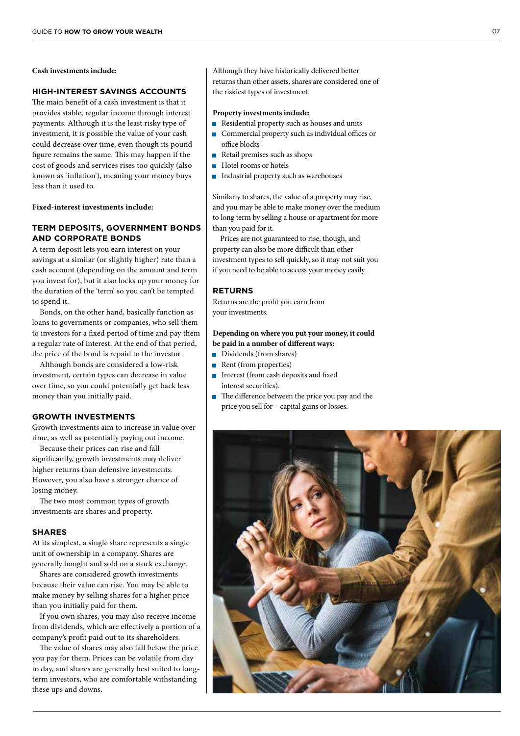#### **Cash investments include:**

#### **HIGH-INTEREST SAVINGS ACCOUNTS**

The main benefit of a cash investment is that it provides stable, regular income through interest payments. Although it is the least risky type of investment, it is possible the value of your cash could decrease over time, even though its pound figure remains the same. This may happen if the cost of goods and services rises too quickly (also known as 'infation'), meaning your money buys less than it used to.

**Fixed-interest investments include:**

#### **TERM DEPOSITS, GOVERNMENT BONDS AND CORPORATE BONDS**

A term deposit lets you earn interest on your savings at a similar (or slightly higher) rate than a cash account (depending on the amount and term you invest for), but it also locks up your money for the duration of the 'term' so you can't be tempted to spend it.

Bonds, on the other hand, basically function as loans to governments or companies, who sell them to investors for a fxed period of time and pay them a regular rate of interest. At the end of that period, the price of the bond is repaid to the investor.

Although bonds are considered a low-risk investment, certain types can decrease in value over time, so you could potentially get back less money than you initially paid.

#### **GROWTH INVESTMENTS**

Growth investments aim to increase in value over time, as well as potentially paying out income.

Because their prices can rise and fall signifcantly, growth investments may deliver higher returns than defensive investments. However, you also have a stronger chance of losing money.

The two most common types of growth investments are shares and property.

#### **SHARES**

At its simplest, a single share represents a single unit of ownership in a company. Shares are generally bought and sold on a stock exchange.

Shares are considered growth investments because their value can rise. You may be able to make money by selling shares for a higher price than you initially paid for them.

If you own shares, you may also receive income from dividends, which are efectively a portion of a company's proft paid out to its shareholders.

The value of shares may also fall below the price you pay for them. Prices can be volatile from day to day, and shares are generally best suited to longterm investors, who are comfortable withstanding these ups and downs.

Although they have historically delivered better returns than other assets, shares are considered one of the riskiest types of investment.

#### **Property investments include:**

- Residential property such as houses and units
- Commercial property such as individual offices or office blocks
- Retail premises such as shops
- Hotel rooms or hotels
- Industrial property such as warehouses

Similarly to shares, the value of a property may rise, and you may be able to make money over the medium to long term by selling a house or apartment for more than you paid for it.

Prices are not guaranteed to rise, though, and property can also be more difficult than other investment types to sell quickly, so it may not suit you if you need to be able to access your money easily.

#### **RETURNS**

Returns are the proft you earn from your investments.

#### **Depending on where you put your money, it could be paid in a number of diferent ways:**

- Dividends (from shares)
- Rent (from properties)
- Interest (from cash deposits and fixed interest securities).
- The difference between the price you pay and the price you sell for – capital gains or losses.

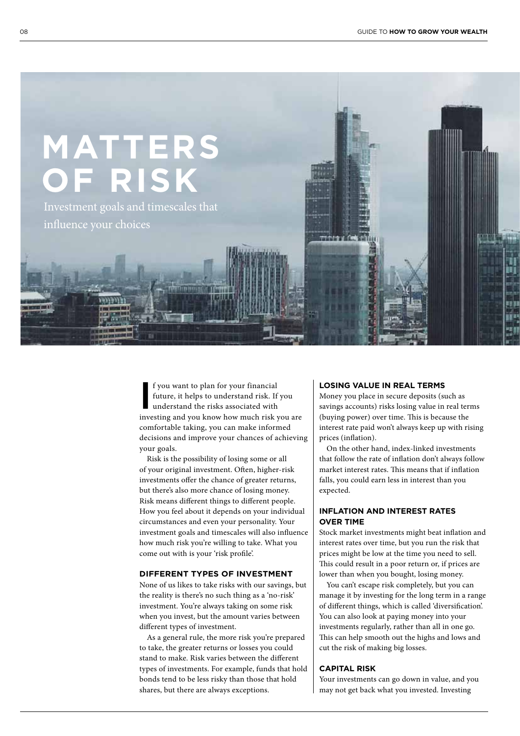

I f you want to plan for your financial future, it helps to understand risk. If you understand the risks associated with investing and you know how much risk you are comfortable taking, you can make informed decisions and improve your chances of achieving your goals.

Risk is the possibility of losing some or all of your original investment. Ofen, higher-risk investments offer the chance of greater returns, but there's also more chance of losing money. Risk means diferent things to diferent people. How you feel about it depends on your individual circumstances and even your personality. Your investment goals and timescales will also infuence how much risk you're willing to take. What you come out with is your 'risk profle'.

#### **DIFFERENT TYPES OF INVESTMENT**

None of us likes to take risks with our savings, but the reality is there's no such thing as a 'no-risk' investment. You're always taking on some risk when you invest, but the amount varies between diferent types of investment.

As a general rule, the more risk you're prepared to take, the greater returns or losses you could stand to make. Risk varies between the diferent types of investments. For example, funds that hold bonds tend to be less risky than those that hold shares, but there are always exceptions.

#### **LOSING VALUE IN REAL TERMS**

Money you place in secure deposits (such as savings accounts) risks losing value in real terms (buying power) over time. This is because the interest rate paid won't always keep up with rising prices (infation).

On the other hand, index-linked investments that follow the rate of infation don't always follow market interest rates. This means that if inflation falls, you could earn less in interest than you expected.

#### **INFLATION AND INTEREST RATES OVER TIME**

Stock market investments might beat infation and interest rates over time, but you run the risk that prices might be low at the time you need to sell. This could result in a poor return or, if prices are lower than when you bought, losing money.

You can't escape risk completely, but you can manage it by investing for the long term in a range of diferent things, which is called 'diversifcation'. You can also look at paying money into your investments regularly, rather than all in one go. This can help smooth out the highs and lows and cut the risk of making big losses.

#### **CAPITAL RISK**

Your investments can go down in value, and you may not get back what you invested. Investing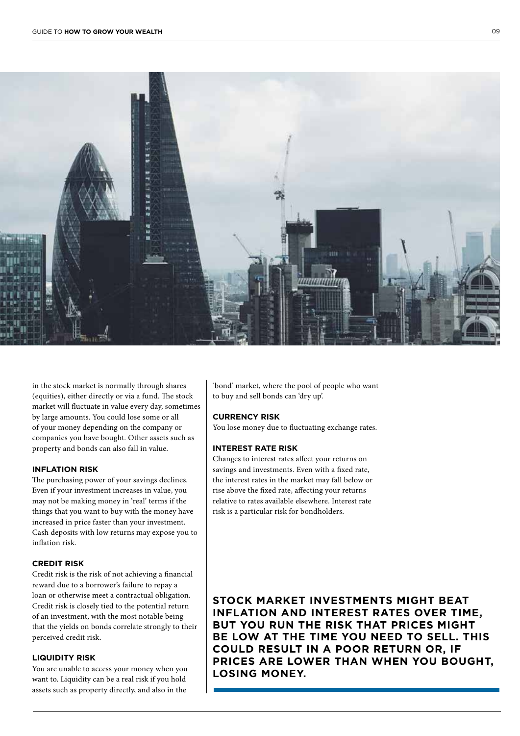

in the stock market is normally through shares (equities), either directly or via a fund. The stock market will fuctuate in value every day, sometimes by large amounts. You could lose some or all of your money depending on the company or companies you have bought. Other assets such as property and bonds can also fall in value.

#### **INFLATION RISK**

The purchasing power of your savings declines. Even if your investment increases in value, you may not be making money in 'real' terms if the things that you want to buy with the money have increased in price faster than your investment. Cash deposits with low returns may expose you to infation risk.

#### **CREDIT RISK**

Credit risk is the risk of not achieving a fnancial reward due to a borrower's failure to repay a loan or otherwise meet a contractual obligation. Credit risk is closely tied to the potential return of an investment, with the most notable being that the yields on bonds correlate strongly to their perceived credit risk.

#### **LIQUIDITY RISK**

You are unable to access your money when you want to. Liquidity can be a real risk if you hold assets such as property directly, and also in the

'bond' market, where the pool of people who want to buy and sell bonds can 'dry up'.

#### **CURRENCY RISK**

You lose money due to fuctuating exchange rates.

#### **INTEREST RATE RISK**

Changes to interest rates afect your returns on savings and investments. Even with a fxed rate, the interest rates in the market may fall below or rise above the fxed rate, afecting your returns relative to rates available elsewhere. Interest rate risk is a particular risk for bondholders.

**STOCK MARKET INVESTMENTS MIGHT BEAT INFLATION AND INTEREST RATES OVER TIME, BUT YOU RUN THE RISK THAT PRICES MIGHT BE LOW AT THE TIME YOU NEED TO SELL. THIS COULD RESULT IN A POOR RETURN OR, IF PRICES ARE LOWER THAN WHEN YOU BOUGHT, LOSING MONEY.**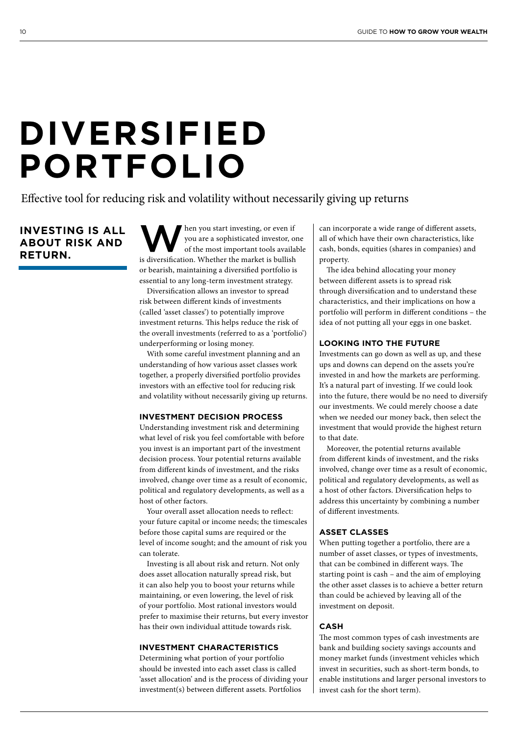### **DIVERSIFIED PORTFOLIO**

Efective tool for reducing risk and volatility without necessarily giving up returns

**INVESTING IS ALL ABOUT RISK AND RETURN.** 

Men you start investing, or even if<br>you are a sophisticated investor, of<br>the most important tools availary and the most important tools availary<br>and the most important tools availary and the most important tools availary<br>g you are a sophisticated investor, one of the most important tools available is diversifcation. Whether the market is bullish or bearish, maintaining a diversifed portfolio is essential to any long-term investment strategy.

Diversifcation allows an investor to spread risk between diferent kinds of investments (called 'asset classes') to potentially improve investment returns. This helps reduce the risk of the overall investments (referred to as a 'portfolio') underperforming or losing money.

With some careful investment planning and an understanding of how various asset classes work together, a properly diversifed portfolio provides investors with an efective tool for reducing risk and volatility without necessarily giving up returns.

#### **INVESTMENT DECISION PROCESS**

Understanding investment risk and determining what level of risk you feel comfortable with before you invest is an important part of the investment decision process. Your potential returns available from diferent kinds of investment, and the risks involved, change over time as a result of economic, political and regulatory developments, as well as a host of other factors.

Your overall asset allocation needs to refect: your future capital or income needs; the timescales before those capital sums are required or the level of income sought; and the amount of risk you can tolerate.

Investing is all about risk and return. Not only does asset allocation naturally spread risk, but it can also help you to boost your returns while maintaining, or even lowering, the level of risk of your portfolio. Most rational investors would prefer to maximise their returns, but every investor has their own individual attitude towards risk.

#### **INVESTMENT CHARACTERISTICS**

Determining what portion of your portfolio should be invested into each asset class is called 'asset allocation' and is the process of dividing your investment(s) between diferent assets. Portfolios

can incorporate a wide range of diferent assets, all of which have their own characteristics, like cash, bonds, equities (shares in companies) and property.

The idea behind allocating your money between diferent assets is to spread risk through diversifcation and to understand these characteristics, and their implications on how a portfolio will perform in diferent conditions – the idea of not putting all your eggs in one basket.

#### **LOOKING INTO THE FUTURE**

Investments can go down as well as up, and these ups and downs can depend on the assets you're invested in and how the markets are performing. It's a natural part of investing. If we could look into the future, there would be no need to diversify our investments. We could merely choose a date when we needed our money back, then select the investment that would provide the highest return to that date.

Moreover, the potential returns available from diferent kinds of investment, and the risks involved, change over time as a result of economic, political and regulatory developments, as well as a host of other factors. Diversifcation helps to address this uncertainty by combining a number of diferent investments.

#### **ASSET CLASSES**

When putting together a portfolio, there are a number of asset classes, or types of investments, that can be combined in different ways. The starting point is cash – and the aim of employing the other asset classes is to achieve a better return than could be achieved by leaving all of the investment on deposit.

#### **CASH**

The most common types of cash investments are bank and building society savings accounts and money market funds (investment vehicles which invest in securities, such as short-term bonds, to enable institutions and larger personal investors to invest cash for the short term).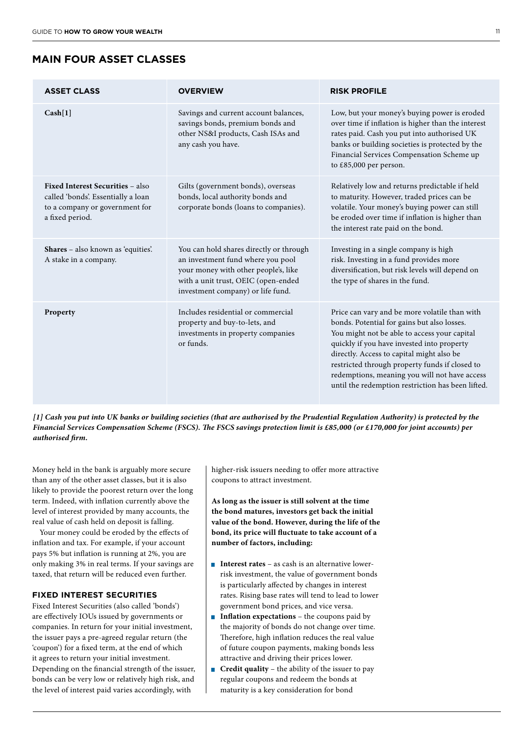#### **MAIN FOUR ASSET CLASSES**

| <b>ASSET CLASS</b>                                                                                                          | <b>OVERVIEW</b>                                                                                                                                                                                  | <b>RISK PROFILE</b>                                                                                                                                                                                                                                                                                                                                                                             |
|-----------------------------------------------------------------------------------------------------------------------------|--------------------------------------------------------------------------------------------------------------------------------------------------------------------------------------------------|-------------------------------------------------------------------------------------------------------------------------------------------------------------------------------------------------------------------------------------------------------------------------------------------------------------------------------------------------------------------------------------------------|
| Cash[1]                                                                                                                     | Savings and current account balances,<br>savings bonds, premium bonds and<br>other NS&I products, Cash ISAs and<br>any cash you have.                                                            | Low, but your money's buying power is eroded<br>over time if inflation is higher than the interest<br>rates paid. Cash you put into authorised UK<br>banks or building societies is protected by the<br>Financial Services Compensation Scheme up<br>to £85,000 per person.                                                                                                                     |
| Fixed Interest Securities - also<br>called 'bonds'. Essentially a loan<br>to a company or government for<br>a fixed period. | Gilts (government bonds), overseas<br>bonds, local authority bonds and<br>corporate bonds (loans to companies).                                                                                  | Relatively low and returns predictable if held<br>to maturity. However, traded prices can be<br>volatile. Your money's buying power can still<br>be eroded over time if inflation is higher than<br>the interest rate paid on the bond.                                                                                                                                                         |
| Shares - also known as 'equities'.<br>A stake in a company.                                                                 | You can hold shares directly or through<br>an investment fund where you pool<br>your money with other people's, like<br>with a unit trust, OEIC (open-ended<br>investment company) or life fund. | Investing in a single company is high<br>risk. Investing in a fund provides more<br>diversification, but risk levels will depend on<br>the type of shares in the fund.                                                                                                                                                                                                                          |
| Property                                                                                                                    | Includes residential or commercial<br>property and buy-to-lets, and<br>investments in property companies<br>or funds.                                                                            | Price can vary and be more volatile than with<br>bonds. Potential for gains but also losses.<br>You might not be able to access your capital<br>quickly if you have invested into property<br>directly. Access to capital might also be<br>restricted through property funds if closed to<br>redemptions, meaning you will not have access<br>until the redemption restriction has been lifted. |

*[1] Cash you put into UK banks or building societies (that are authorised by the Prudential Regulation Authority) is protected by the Financial Services Compensation Scheme (FSCS).* **T***e FSCS savings protection limit is £85,000 (or £170,000 for joint accounts) per authorised* **f***rm.*

Money held in the bank is arguably more secure than any of the other asset classes, but it is also likely to provide the poorest return over the long term. Indeed, with infation currently above the level of interest provided by many accounts, the real value of cash held on deposit is falling.

Your money could be eroded by the efects of infation and tax. For example, if your account pays 5% but infation is running at 2%, you are only making 3% in real terms. If your savings are taxed, that return will be reduced even further.

#### **FIXED INTEREST SECURITIES**

Fixed Interest Securities (also called 'bonds') are efectively IOUs issued by governments or companies. In return for your initial investment, the issuer pays a pre-agreed regular return (the 'coupon') for a fxed term, at the end of which it agrees to return your initial investment. Depending on the fnancial strength of the issuer, bonds can be very low or relatively high risk, and the level of interest paid varies accordingly, with

higher-risk issuers needing to offer more attractive coupons to attract investment.

**As long as the issuer is still solvent at the time the bond matures, investors get back the initial value of the bond. However, during the life of the bond, its price will fuctuate to take account of a number of factors, including:**

- **Interest rates** as cash is an alternative lowerrisk investment, the value of government bonds is particularly afected by changes in interest rates. Rising base rates will tend to lead to lower government bond prices, and vice versa.
- **Inflation expectations** the coupons paid by the majority of bonds do not change over time. Therefore, high inflation reduces the real value of future coupon payments, making bonds less attractive and driving their prices lower.
- **Credit quality** the ability of the issuer to pay regular coupons and redeem the bonds at maturity is a key consideration for bond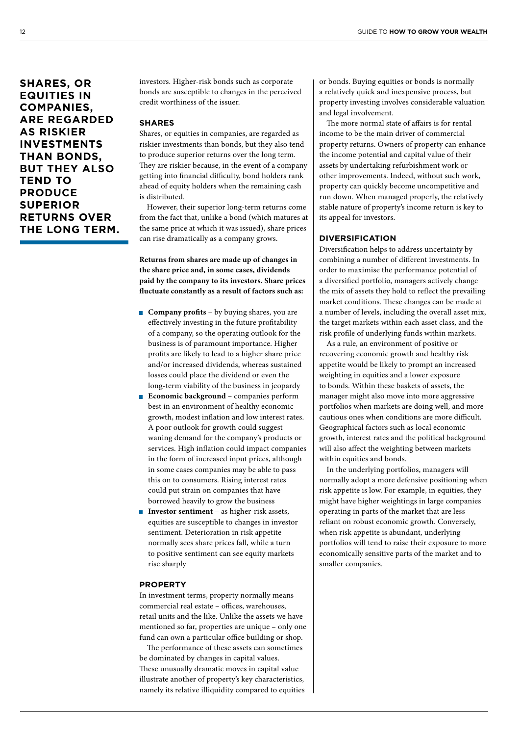#### **SHARES, OR EQUITIES IN COMPANIES, ARE REGARDED AS RISKIER INVESTMENTS THAN BONDS, BUT THEY ALSO TEND TO PRODUCE SUPERIOR RETURNS OVER THE LONG TERM.**

investors. Higher-risk bonds such as corporate bonds are susceptible to changes in the perceived credit worthiness of the issuer.

#### **SHARES**

Shares, or equities in companies, are regarded as riskier investments than bonds, but they also tend to produce superior returns over the long term. They are riskier because, in the event of a company getting into financial difficulty, bond holders rank ahead of equity holders when the remaining cash is distributed.

However, their superior long-term returns come from the fact that, unlike a bond (which matures at the same price at which it was issued), share prices can rise dramatically as a company grows.

**Returns from shares are made up of changes in the share price and, in some cases, dividends paid by the company to its investors. Share prices fuctuate constantly as a result of factors such as:**

- **Company profits** by buying shares, you are efectively investing in the future proftability of a company, so the operating outlook for the business is of paramount importance. Higher profts are likely to lead to a higher share price and/or increased dividends, whereas sustained losses could place the dividend or even the long-term viability of the business in jeopardy
- **Economic background** companies perform best in an environment of healthy economic growth, modest infation and low interest rates. A poor outlook for growth could suggest waning demand for the company's products or services. High infation could impact companies in the form of increased input prices, although in some cases companies may be able to pass this on to consumers. Rising interest rates could put strain on companies that have borrowed heavily to grow the business
- **Investor sentiment** as higher-risk assets, equities are susceptible to changes in investor sentiment. Deterioration in risk appetite normally sees share prices fall, while a turn to positive sentiment can see equity markets rise sharply

#### **PROPERTY**

In investment terms, property normally means commercial real estate – offices, warehouses, retail units and the like. Unlike the assets we have mentioned so far, properties are unique – only one fund can own a particular office building or shop.

The performance of these assets can sometimes be dominated by changes in capital values. These unusually dramatic moves in capital value illustrate another of property's key characteristics, namely its relative illiquidity compared to equities or bonds. Buying equities or bonds is normally a relatively quick and inexpensive process, but property investing involves considerable valuation and legal involvement.

The more normal state of affairs is for rental income to be the main driver of commercial property returns. Owners of property can enhance the income potential and capital value of their assets by undertaking refurbishment work or other improvements. Indeed, without such work, property can quickly become uncompetitive and run down. When managed properly, the relatively stable nature of property's income return is key to its appeal for investors.

#### **DIVERSIFICATION**

Diversifcation helps to address uncertainty by combining a number of diferent investments. In order to maximise the performance potential of a diversifed portfolio, managers actively change the mix of assets they hold to refect the prevailing market conditions. These changes can be made at a number of levels, including the overall asset mix, the target markets within each asset class, and the risk profle of underlying funds within markets.

As a rule, an environment of positive or recovering economic growth and healthy risk appetite would be likely to prompt an increased weighting in equities and a lower exposure to bonds. Within these baskets of assets, the manager might also move into more aggressive portfolios when markets are doing well, and more cautious ones when conditions are more difficult. Geographical factors such as local economic growth, interest rates and the political background will also afect the weighting between markets within equities and bonds.

In the underlying portfolios, managers will normally adopt a more defensive positioning when risk appetite is low. For example, in equities, they might have higher weightings in large companies operating in parts of the market that are less reliant on robust economic growth. Conversely, when risk appetite is abundant, underlying portfolios will tend to raise their exposure to more economically sensitive parts of the market and to smaller companies.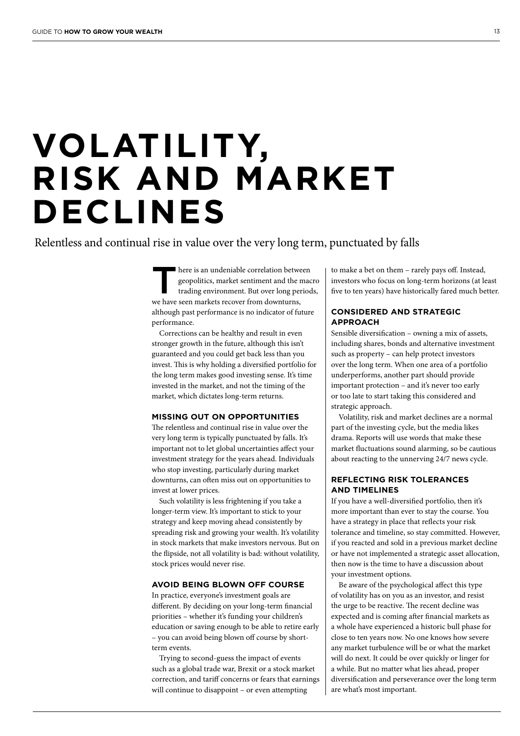### **VOLATILITY, RISK AND MARKET DECLINES**

Relentless and continual rise in value over the very long term, punctuated by falls

There is an undeniable correlation between<br>geopolitics, market sentiment and the mac<br>trading environment. But over long period geopolitics, market sentiment and the macro trading environment. But over long periods, we have seen markets recover from downturns, although past performance is no indicator of future performance.

Corrections can be healthy and result in even stronger growth in the future, although this isn't guaranteed and you could get back less than you invest. This is why holding a diversified portfolio for the long term makes good investing sense. It's time invested in the market, and not the timing of the market, which dictates long-term returns.

#### **MISSING OUT ON OPPORTUNITIES**

The relentless and continual rise in value over the very long term is typically punctuated by falls. It's important not to let global uncertainties afect your investment strategy for the years ahead. Individuals who stop investing, particularly during market downturns, can often miss out on opportunities to invest at lower prices.

Such volatility is less frightening if you take a longer-term view. It's important to stick to your strategy and keep moving ahead consistently by spreading risk and growing your wealth. It's volatility in stock markets that make investors nervous. But on the fipside, not all volatility is bad: without volatility, stock prices would never rise.

#### **AVOID BEING BLOWN OFF COURSE**

In practice, everyone's investment goals are diferent. By deciding on your long-term fnancial priorities – whether it's funding your children's education or saving enough to be able to retire early – you can avoid being blown of course by shortterm events.

Trying to second-guess the impact of events such as a global trade war, Brexit or a stock market correction, and tarif concerns or fears that earnings will continue to disappoint – or even attempting

to make a bet on them – rarely pays of. Instead, investors who focus on long-term horizons (at least five to ten years) have historically fared much better.

#### **CONSIDERED AND STRATEGIC APPROACH**

Sensible diversifcation – owning a mix of assets, including shares, bonds and alternative investment such as property – can help protect investors over the long term. When one area of a portfolio underperforms, another part should provide important protection – and it's never too early or too late to start taking this considered and strategic approach.

Volatility, risk and market declines are a normal part of the investing cycle, but the media likes drama. Reports will use words that make these market fuctuations sound alarming, so be cautious about reacting to the unnerving 24/7 news cycle.

#### **REFLECTING RISK TOLERANCES AND TIMELINES**

If you have a well-diversifed portfolio, then it's more important than ever to stay the course. You have a strategy in place that refects your risk tolerance and timeline, so stay committed. However, if you reacted and sold in a previous market decline or have not implemented a strategic asset allocation, then now is the time to have a discussion about your investment options.

Be aware of the psychological afect this type of volatility has on you as an investor, and resist the urge to be reactive. The recent decline was expected and is coming afer fnancial markets as a whole have experienced a historic bull phase for close to ten years now. No one knows how severe any market turbulence will be or what the market will do next. It could be over quickly or linger for a while. But no matter what lies ahead, proper diversifcation and perseverance over the long term are what's most important.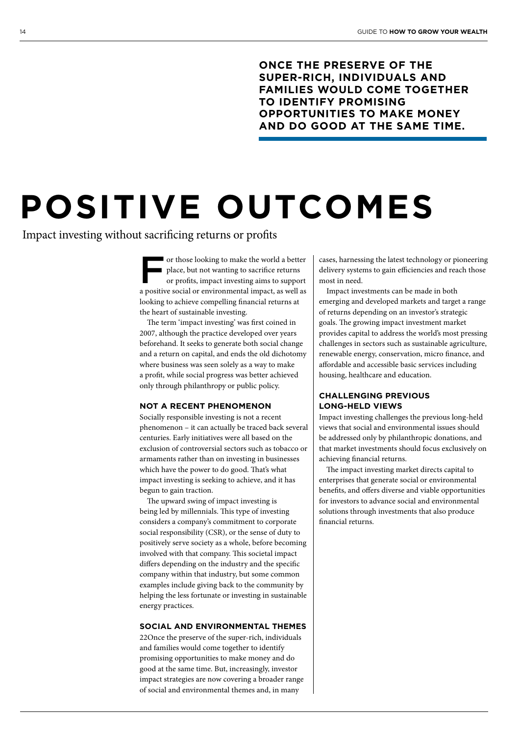**ONCE THE PRESERVE OF THE SUPER-RICH, INDIVIDUALS AND FAMILIES WOULD COME TOGETHER TO IDENTIFY PROMISING OPPORTUNITIES TO MAKE MONEY AND DO GOOD AT THE SAME TIME.**

### **POSITIVE OUTCOMES**

Impact investing without sacrifcing returns or profts

or those looking to make the world a better<br>
place, but not wanting to sacrifice returns<br>
or profits, impact investing aims to support place, but not wanting to sacrifce returns a positive social or environmental impact, as well as looking to achieve compelling fnancial returns at the heart of sustainable investing.

The term 'impact investing' was first coined in 2007, although the practice developed over years beforehand. It seeks to generate both social change and a return on capital, and ends the old dichotomy where business was seen solely as a way to make a proft, while social progress was better achieved only through philanthropy or public policy.

#### **NOT A RECENT PHENOMENON**

Socially responsible investing is not a recent phenomenon – it can actually be traced back several centuries. Early initiatives were all based on the exclusion of controversial sectors such as tobacco or armaments rather than on investing in businesses which have the power to do good. That's what impact investing is seeking to achieve, and it has begun to gain traction.

The upward swing of impact investing is being led by millennials. This type of investing considers a company's commitment to corporate social responsibility (CSR), or the sense of duty to positively serve society as a whole, before becoming involved with that company. This societal impact difers depending on the industry and the specifc company within that industry, but some common examples include giving back to the community by helping the less fortunate or investing in sustainable energy practices.

#### **SOCIAL AND ENVIRONMENTAL THEMES**

22Once the preserve of the super-rich, individuals and families would come together to identify promising opportunities to make money and do good at the same time. But, increasingly, investor impact strategies are now covering a broader range of social and environmental themes and, in many

cases, harnessing the latest technology or pioneering delivery systems to gain efficiencies and reach those most in need.

Impact investments can be made in both emerging and developed markets and target a range of returns depending on an investor's strategic goals. The growing impact investment market provides capital to address the world's most pressing challenges in sectors such as sustainable agriculture, renewable energy, conservation, micro fnance, and afordable and accessible basic services including housing, healthcare and education.

#### **CHALLENGING PREVIOUS LONG-HELD VIEWS**

Impact investing challenges the previous long-held views that social and environmental issues should be addressed only by philanthropic donations, and that market investments should focus exclusively on achieving fnancial returns.

The impact investing market directs capital to enterprises that generate social or environmental benefits, and offers diverse and viable opportunities for investors to advance social and environmental solutions through investments that also produce fnancial returns.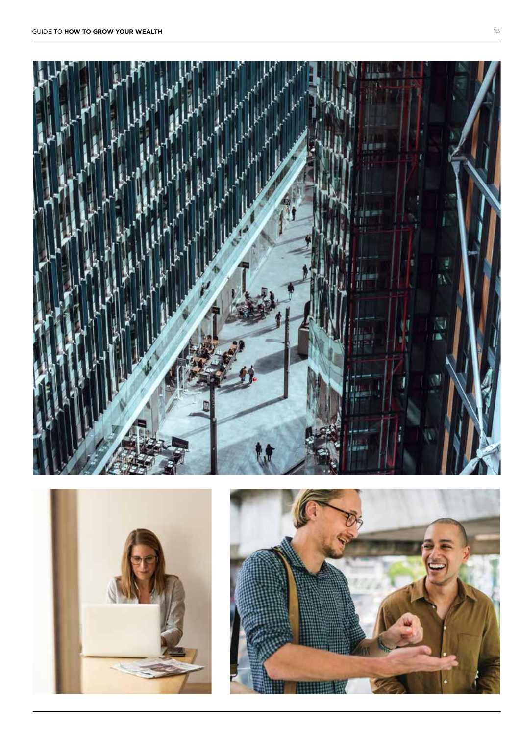